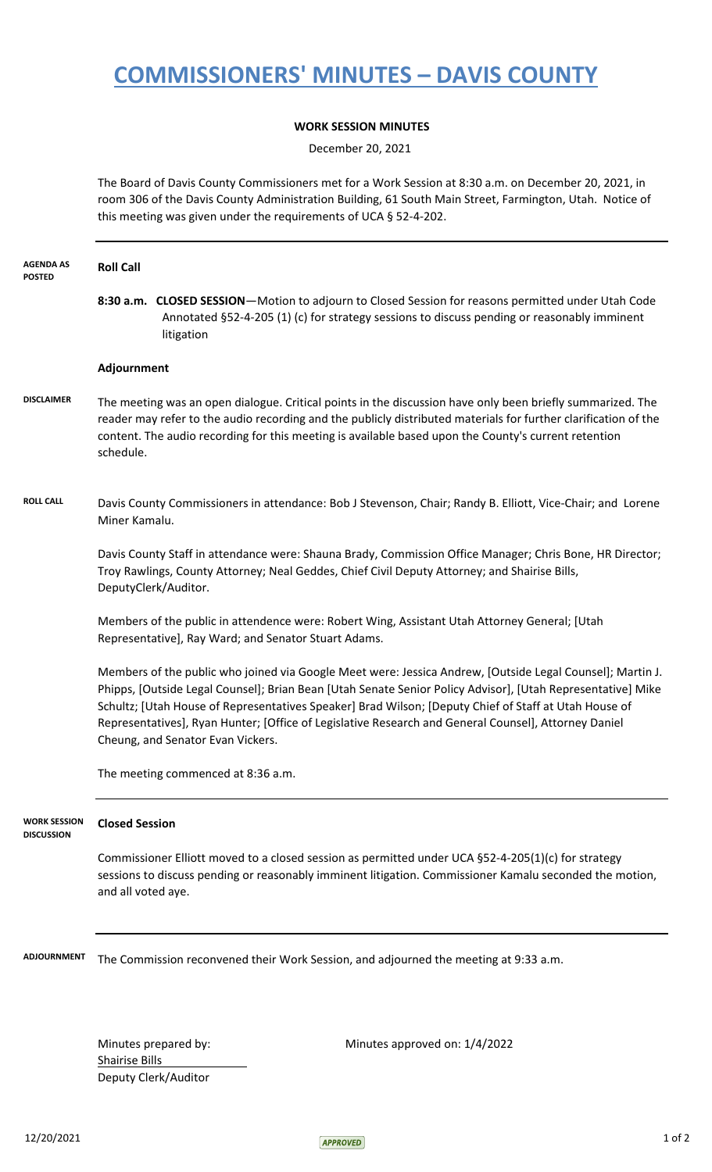## **COMMISSIONERS' MINUTES – DAVIS COUNTY**

## **WORK SESSION MINUTES**

December 20, 2021

The Board of Davis County Commissioners met for a Work Session at 8:30 a.m. on December 20, 2021, in room 306 of the Davis County Administration Building, 61 South Main Street, Farmington, Utah. Notice of this meeting was given under the requirements of UCA § 52-4-202.

| <b>AGENDA AS</b><br><b>POSTED</b>        | <b>Roll Call</b>                                                                                                                                                                                                                                                                                                                                                                                                                                                               |
|------------------------------------------|--------------------------------------------------------------------------------------------------------------------------------------------------------------------------------------------------------------------------------------------------------------------------------------------------------------------------------------------------------------------------------------------------------------------------------------------------------------------------------|
|                                          | 8:30 a.m. CLOSED SESSION-Motion to adjourn to Closed Session for reasons permitted under Utah Code<br>Annotated §52-4-205 (1) (c) for strategy sessions to discuss pending or reasonably imminent<br>litigation                                                                                                                                                                                                                                                                |
|                                          | Adjournment                                                                                                                                                                                                                                                                                                                                                                                                                                                                    |
| <b>DISCLAIMER</b>                        | The meeting was an open dialogue. Critical points in the discussion have only been briefly summarized. The<br>reader may refer to the audio recording and the publicly distributed materials for further clarification of the<br>content. The audio recording for this meeting is available based upon the County's current retention<br>schedule.                                                                                                                             |
| <b>ROLL CALL</b>                         | Davis County Commissioners in attendance: Bob J Stevenson, Chair; Randy B. Elliott, Vice-Chair; and Lorene<br>Miner Kamalu.                                                                                                                                                                                                                                                                                                                                                    |
|                                          | Davis County Staff in attendance were: Shauna Brady, Commission Office Manager; Chris Bone, HR Director;<br>Troy Rawlings, County Attorney; Neal Geddes, Chief Civil Deputy Attorney; and Shairise Bills,<br>DeputyClerk/Auditor.                                                                                                                                                                                                                                              |
|                                          | Members of the public in attendence were: Robert Wing, Assistant Utah Attorney General; [Utah<br>Representative], Ray Ward; and Senator Stuart Adams.                                                                                                                                                                                                                                                                                                                          |
|                                          | Members of the public who joined via Google Meet were: Jessica Andrew, [Outside Legal Counsel]; Martin J.<br>Phipps, [Outside Legal Counsel]; Brian Bean [Utah Senate Senior Policy Advisor], [Utah Representative] Mike<br>Schultz; [Utah House of Representatives Speaker] Brad Wilson; [Deputy Chief of Staff at Utah House of<br>Representatives], Ryan Hunter; [Office of Legislative Research and General Counsel], Attorney Daniel<br>Cheung, and Senator Evan Vickers. |
|                                          | The meeting commenced at 8:36 a.m.                                                                                                                                                                                                                                                                                                                                                                                                                                             |
| <b>WORK SESSION</b><br><b>DISCUSSION</b> | <b>Closed Session</b>                                                                                                                                                                                                                                                                                                                                                                                                                                                          |
|                                          | Commissioner Elliott moved to a closed session as permitted under UCA §52-4-205(1)(c) for strategy<br>sessions to discuss pending or reasonably imminent litigation. Commissioner Kamalu seconded the motion,<br>and all voted aye.                                                                                                                                                                                                                                            |
| <b>ADJOURNMENT</b>                       | The Commission reconvened their Work Session, and adjourned the meeting at 9:33 a.m.                                                                                                                                                                                                                                                                                                                                                                                           |
|                                          |                                                                                                                                                                                                                                                                                                                                                                                                                                                                                |

Shairise Bills Deputy Clerk/Auditor

Minutes prepared by: Minutes approved on: 1/4/2022